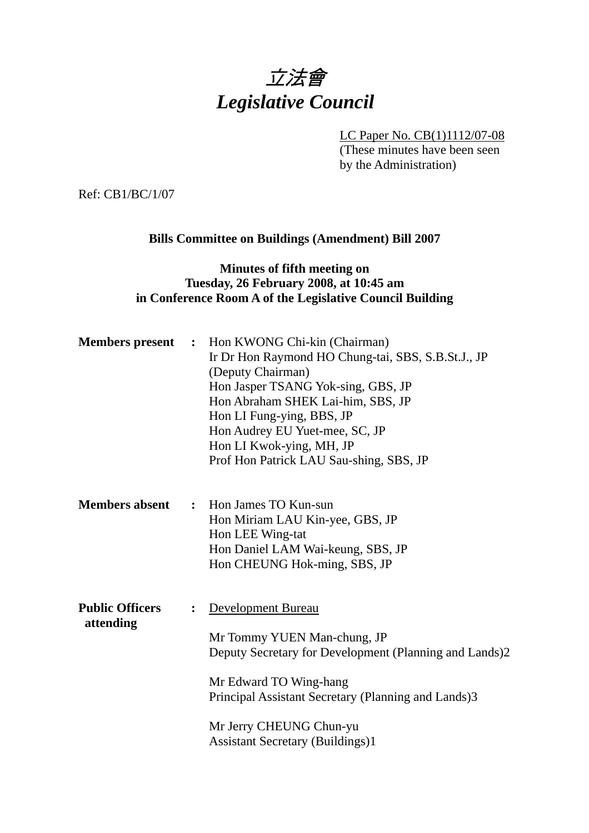# 立法會 *Legislative Council*

LC Paper No. CB(1)1112/07-08

(These minutes have been seen by the Administration)

Ref: CB1/BC/1/07

# **Bills Committee on Buildings (Amendment) Bill 2007**

## **Minutes of fifth meeting on Tuesday, 26 February 2008, at 10:45 am in Conference Room A of the Legislative Council Building**

| <b>Members</b> present              | $\ddot{\phantom{1}}$ | Hon KWONG Chi-kin (Chairman)<br>Ir Dr Hon Raymond HO Chung-tai, SBS, S.B.St.J., JP<br>(Deputy Chairman)<br>Hon Jasper TSANG Yok-sing, GBS, JP<br>Hon Abraham SHEK Lai-him, SBS, JP<br>Hon LI Fung-ying, BBS, JP<br>Hon Audrey EU Yuet-mee, SC, JP<br>Hon LI Kwok-ying, MH, JP<br>Prof Hon Patrick LAU Sau-shing, SBS, JP |
|-------------------------------------|----------------------|--------------------------------------------------------------------------------------------------------------------------------------------------------------------------------------------------------------------------------------------------------------------------------------------------------------------------|
| <b>Members absent</b>               |                      | : Hon James TO Kun-sun<br>Hon Miriam LAU Kin-yee, GBS, JP<br>Hon LEE Wing-tat<br>Hon Daniel LAM Wai-keung, SBS, JP<br>Hon CHEUNG Hok-ming, SBS, JP                                                                                                                                                                       |
| <b>Public Officers</b><br>attending | $\ddot{\cdot}$       | Development Bureau<br>Mr Tommy YUEN Man-chung, JP<br>Deputy Secretary for Development (Planning and Lands)2<br>Mr Edward TO Wing-hang<br>Principal Assistant Secretary (Planning and Lands)3<br>Mr Jerry CHEUNG Chun-yu<br><b>Assistant Secretary (Buildings)1</b>                                                       |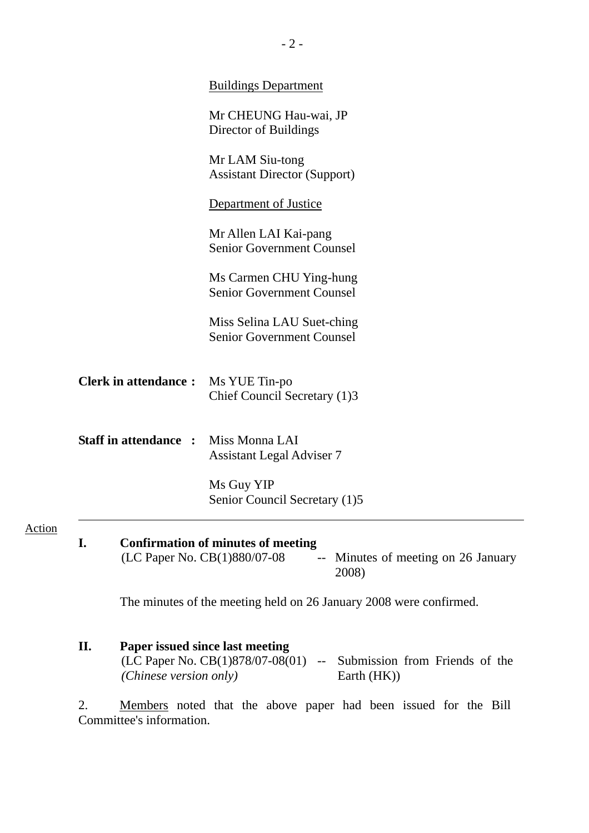|                             | <b>Buildings Department</b>                                                                                               |
|-----------------------------|---------------------------------------------------------------------------------------------------------------------------|
|                             | Mr CHEUNG Hau-wai, JP<br>Director of Buildings                                                                            |
|                             | Mr LAM Siu-tong<br><b>Assistant Director (Support)</b>                                                                    |
|                             | Department of Justice                                                                                                     |
|                             | Mr Allen LAI Kai-pang<br><b>Senior Government Counsel</b>                                                                 |
|                             | Ms Carmen CHU Ying-hung<br><b>Senior Government Counsel</b>                                                               |
|                             | Miss Selina LAU Suet-ching<br><b>Senior Government Counsel</b>                                                            |
| <b>Clerk in attendance:</b> | Ms YUE Tin-po<br>Chief Council Secretary (1)3                                                                             |
| <b>Staff in attendance:</b> | Miss Monna LAI<br><b>Assistant Legal Adviser 7</b>                                                                        |
|                             | Ms Guy YIP<br>Senior Council Secretary (1)5                                                                               |
| I.                          | <b>Confirmation of minutes of meeting</b><br>(LC Paper No. CB(1)880/07-08<br>-- Minutes of meeting on 26 January<br>2008) |
|                             | The minutes of the meeting held on 26 January 2008 were confirmed.                                                        |

**II. Paper issued since last meeting**   $(LC$  Paper No.  $CB(1)878/07-08(01)$  -- Submission from Friends of the *(Chinese version only)* Earth (HK))

2. Members noted that the above paper had been issued for the Bill Committee's information.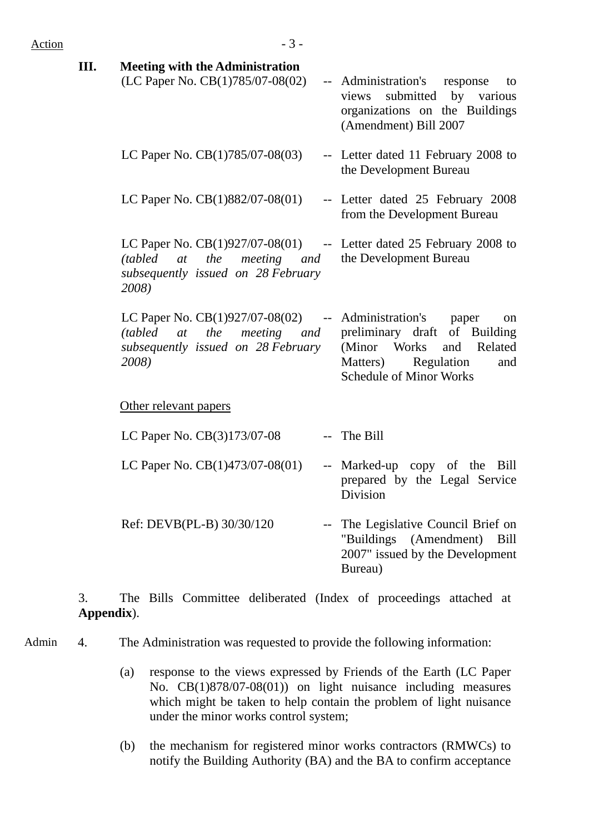| Action | $-3-$                                                                                                                                                        |                                                                                                                                                       |
|--------|--------------------------------------------------------------------------------------------------------------------------------------------------------------|-------------------------------------------------------------------------------------------------------------------------------------------------------|
| Ш.     | <b>Meeting with the Administration</b><br>(LC Paper No. CB(1)785/07-08(02)                                                                                   | -- Administration's response<br>to<br>views submitted by various<br>organizations on the Buildings<br>(Amendment) Bill 2007                           |
|        | LC Paper No. $CB(1)785/07-08(03)$                                                                                                                            | -- Letter dated 11 February 2008 to<br>the Development Bureau                                                                                         |
|        | LC Paper No. $CB(1)882/07-08(01)$                                                                                                                            | -- Letter dated 25 February 2008<br>from the Development Bureau                                                                                       |
|        | LC Paper No. $CB(1)927/07-08(01)$ -- Letter dated 25 February 2008 to<br>the<br>(tabled)<br>at<br>meeting and<br>subsequently issued on 28 February<br>2008) | the Development Bureau                                                                                                                                |
|        | LC Paper No. $CB(1)927/07-08(02)$ -- Administration's<br><i>the</i> meeting and<br>(tabled)<br>at<br>subsequently issued on 28 February<br>2008)             | paper<br>on<br>preliminary draft of Building<br>Works<br>(Minor)<br>and<br>Related<br>Matters)<br>Regulation<br>and<br><b>Schedule of Minor Works</b> |
|        | Other relevant papers                                                                                                                                        |                                                                                                                                                       |
|        | LC Paper No. CB(3)173/07-08                                                                                                                                  | -- The Bill                                                                                                                                           |
|        | LC Paper No. $CB(1)473/07-08(01)$                                                                                                                            | -- Marked-up copy of the<br>Bill<br>prepared by the Legal Service<br>Division                                                                         |
|        | Ref: DEVB(PL-B) 30/30/120                                                                                                                                    | The Legislative Council Brief on<br>"Buildings (Amendment)<br>Bill<br>2007" issued by the Development<br>Bureau)                                      |
|        |                                                                                                                                                              |                                                                                                                                                       |

3. The Bills Committee deliberated (Index of proceedings attached at **Appendix**).

Admin 4. The Administration was requested to provide the following information:

- (a) response to the views expressed by Friends of the Earth (LC Paper No. CB(1)878/07-08(01)) on light nuisance including measures which might be taken to help contain the problem of light nuisance under the minor works control system;
- (b) the mechanism for registered minor works contractors (RMWCs) to notify the Building Authority (BA) and the BA to confirm acceptance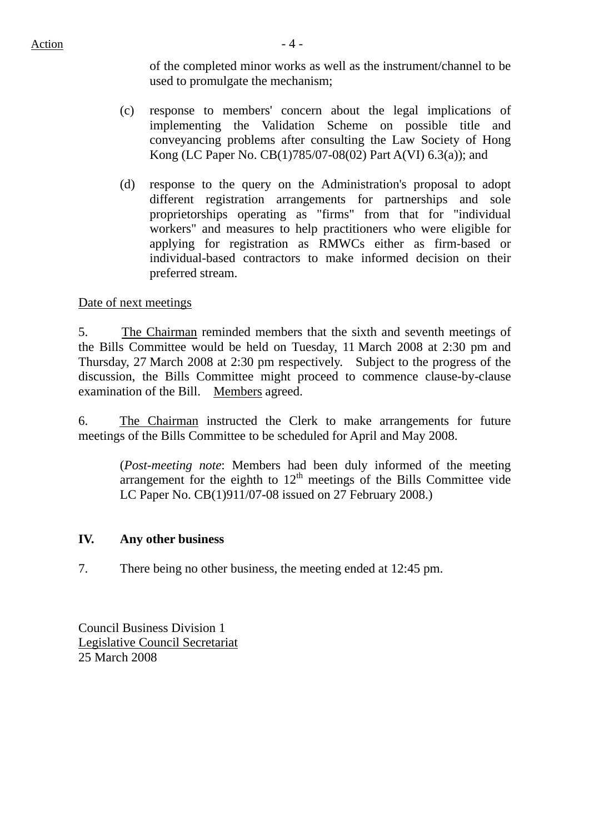of the completed minor works as well as the instrument/channel to be used to promulgate the mechanism;

- (c) response to members' concern about the legal implications of implementing the Validation Scheme on possible title and conveyancing problems after consulting the Law Society of Hong Kong (LC Paper No. CB(1)785/07-08(02) Part A(VI) 6.3(a)); and
- (d) response to the query on the Administration's proposal to adopt different registration arrangements for partnerships and sole proprietorships operating as "firms" from that for "individual workers" and measures to help practitioners who were eligible for applying for registration as RMWCs either as firm-based or individual-based contractors to make informed decision on their preferred stream.

### Date of next meetings

5. The Chairman reminded members that the sixth and seventh meetings of the Bills Committee would be held on Tuesday, 11 March 2008 at 2:30 pm and Thursday, 27 March 2008 at 2:30 pm respectively. Subject to the progress of the discussion, the Bills Committee might proceed to commence clause-by-clause examination of the Bill. Members agreed.

6. The Chairman instructed the Clerk to make arrangements for future meetings of the Bills Committee to be scheduled for April and May 2008.

(*Post-meeting note*: Members had been duly informed of the meeting arrangement for the eighth to  $12<sup>th</sup>$  meetings of the Bills Committee vide LC Paper No. CB(1)911/07-08 issued on 27 February 2008.)

#### **IV. Any other business**

7. There being no other business, the meeting ended at 12:45 pm.

Council Business Division 1 Legislative Council Secretariat 25 March 2008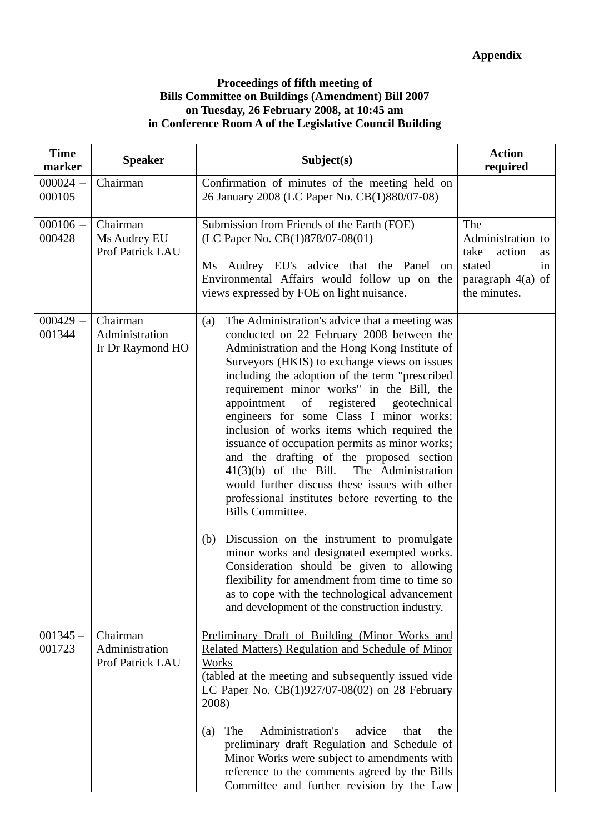#### **Proceedings of fifth meeting of Bills Committee on Buildings (Amendment) Bill 2007 on Tuesday, 26 February 2008, at 10:45 am in Conference Room A of the Legislative Council Building**

| <b>Time</b><br>marker | <b>Speaker</b>                                 | Subject(s)                                                                                                                                                                                                                                                                                                                                                                                                                                                                                                                                                                                                                                                                                                                                                                                                                                                                                                                                                                                                                      | <b>Action</b><br>required                                                                             |
|-----------------------|------------------------------------------------|---------------------------------------------------------------------------------------------------------------------------------------------------------------------------------------------------------------------------------------------------------------------------------------------------------------------------------------------------------------------------------------------------------------------------------------------------------------------------------------------------------------------------------------------------------------------------------------------------------------------------------------------------------------------------------------------------------------------------------------------------------------------------------------------------------------------------------------------------------------------------------------------------------------------------------------------------------------------------------------------------------------------------------|-------------------------------------------------------------------------------------------------------|
| $000024 -$<br>000105  | Chairman                                       | Confirmation of minutes of the meeting held on<br>26 January 2008 (LC Paper No. CB(1)880/07-08)                                                                                                                                                                                                                                                                                                                                                                                                                                                                                                                                                                                                                                                                                                                                                                                                                                                                                                                                 |                                                                                                       |
| $000106 -$<br>000428  | Chairman<br>Ms Audrey EU<br>Prof Patrick LAU   | Submission from Friends of the Earth (FOE)<br>(LC Paper No. CB(1)878/07-08(01)<br>Ms Audrey EU's advice that the Panel<br>on<br>Environmental Affairs would follow up on the<br>views expressed by FOE on light nuisance.                                                                                                                                                                                                                                                                                                                                                                                                                                                                                                                                                                                                                                                                                                                                                                                                       | The<br>Administration to<br>take<br>action<br>as<br>stated<br>in<br>paragraph 4(a) of<br>the minutes. |
| $000429 -$<br>001344  | Chairman<br>Administration<br>Ir Dr Raymond HO | The Administration's advice that a meeting was<br>(a)<br>conducted on 22 February 2008 between the<br>Administration and the Hong Kong Institute of<br>Surveyors (HKIS) to exchange views on issues<br>including the adoption of the term "prescribed"<br>requirement minor works" in the Bill, the<br>of<br>registered geotechnical<br>appointment<br>engineers for some Class I minor works;<br>inclusion of works items which required the<br>issuance of occupation permits as minor works;<br>and the drafting of the proposed section<br>$41(3)(b)$ of the Bill.<br>The Administration<br>would further discuss these issues with other<br>professional institutes before reverting to the<br><b>Bills Committee.</b><br>Discussion on the instrument to promulgate<br>(b)<br>minor works and designated exempted works.<br>Consideration should be given to allowing<br>flexibility for amendment from time to time so<br>as to cope with the technological advancement<br>and development of the construction industry. |                                                                                                       |
| $001345 -$<br>001723  | Chairman<br>Administration<br>Prof Patrick LAU | Preliminary Draft of Building (Minor Works and<br>Related Matters) Regulation and Schedule of Minor<br>Works<br>(tabled at the meeting and subsequently issued vide<br>LC Paper No. $CB(1)927/07-08(02)$ on 28 February<br>2008)<br>Administration's<br>advice<br>The<br>that<br>the<br>(a)<br>preliminary draft Regulation and Schedule of<br>Minor Works were subject to amendments with<br>reference to the comments agreed by the Bills<br>Committee and further revision by the Law                                                                                                                                                                                                                                                                                                                                                                                                                                                                                                                                        |                                                                                                       |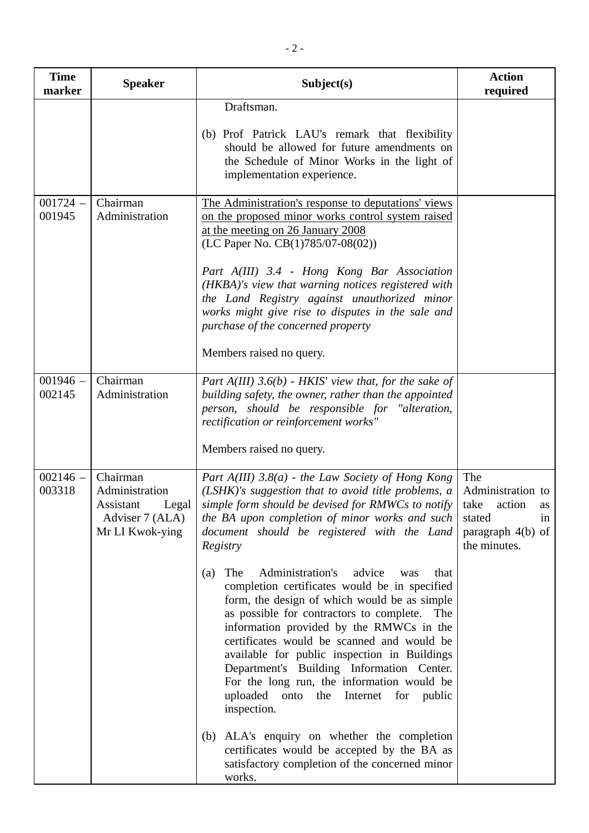| <b>Time</b><br>marker | <b>Speaker</b>                                                                         | Subject(s)                                                                                                                                                                                                                                                                                                                                                                                                                                                                                                                                                                                                                                                                                                                                                                                                                                                                                                                                      | <b>Action</b><br>required                                                                               |
|-----------------------|----------------------------------------------------------------------------------------|-------------------------------------------------------------------------------------------------------------------------------------------------------------------------------------------------------------------------------------------------------------------------------------------------------------------------------------------------------------------------------------------------------------------------------------------------------------------------------------------------------------------------------------------------------------------------------------------------------------------------------------------------------------------------------------------------------------------------------------------------------------------------------------------------------------------------------------------------------------------------------------------------------------------------------------------------|---------------------------------------------------------------------------------------------------------|
|                       |                                                                                        | Draftsman.<br>(b) Prof Patrick LAU's remark that flexibility<br>should be allowed for future amendments on<br>the Schedule of Minor Works in the light of<br>implementation experience.                                                                                                                                                                                                                                                                                                                                                                                                                                                                                                                                                                                                                                                                                                                                                         |                                                                                                         |
| $001724 -$<br>001945  | Chairman<br>Administration                                                             | The Administration's response to deputations' views<br>on the proposed minor works control system raised<br>at the meeting on 26 January 2008<br>(LC Paper No. $CB(1)785/07-08(02)$ )<br>Part A(III) 3.4 - Hong Kong Bar Association<br>(HKBA)'s view that warning notices registered with<br>the Land Registry against unauthorized minor<br>works might give rise to disputes in the sale and<br>purchase of the concerned property<br>Members raised no query.                                                                                                                                                                                                                                                                                                                                                                                                                                                                               |                                                                                                         |
| $001946 -$<br>002145  | Chairman<br>Administration                                                             | Part $A(III)$ 3.6(b) - HKIS' view that, for the sake of<br>building safety, the owner, rather than the appointed<br>person, should be responsible for "alteration,<br>rectification or reinforcement works"<br>Members raised no query.                                                                                                                                                                                                                                                                                                                                                                                                                                                                                                                                                                                                                                                                                                         |                                                                                                         |
| $002146 -$<br>003318  | Chairman<br>Administration<br>Legal<br>Assistant<br>Adviser 7 (ALA)<br>Mr LI Kwok-ying | Part $A(III)$ 3.8(a) - the Law Society of Hong Kong<br>(LSHK)'s suggestion that to avoid title problems, a<br>simple form should be devised for RMWCs to notify<br>the BA upon completion of minor works and such<br>document should be registered with the Land<br>Registry<br>Administration's<br>The<br>advice<br>that<br>(a)<br>was<br>completion certificates would be in specified<br>form, the design of which would be as simple<br>as possible for contractors to complete. The<br>information provided by the RMWCs in the<br>certificates would be scanned and would be<br>available for public inspection in Buildings<br>Department's Building Information Center.<br>For the long run, the information would be<br>uploaded onto the Internet for public<br>inspection.<br>(b) ALA's enquiry on whether the completion<br>certificates would be accepted by the BA as<br>satisfactory completion of the concerned minor<br>works. | The<br>Administration to<br>take<br>action<br>as<br>stated<br>in<br>paragraph $4(b)$ of<br>the minutes. |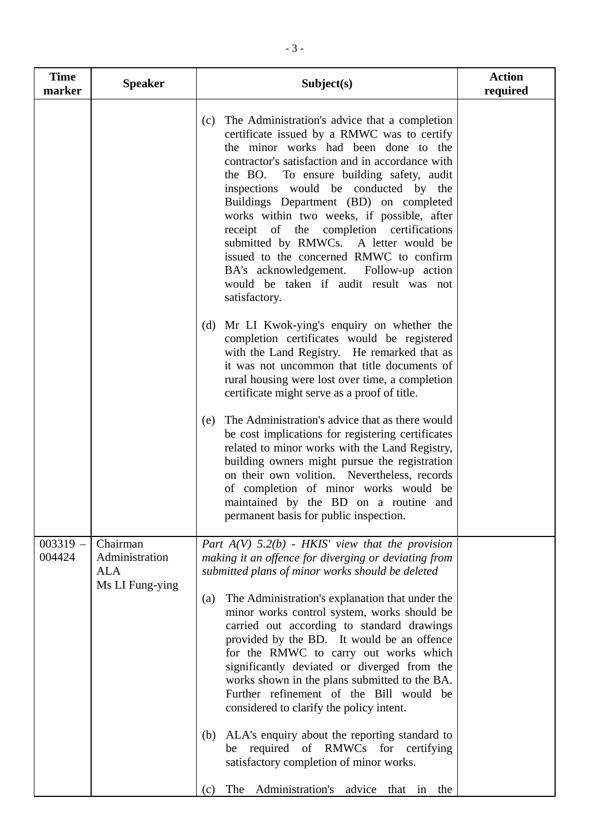| <b>Time</b><br>marker | <b>Speaker</b>                                       | Subject(s)                                                                                                                                                                                                                                                                                                                                                                                                                                                                                                                                                                                                                                                                                                                                                                                                                                                                                                           | <b>Action</b><br>required |
|-----------------------|------------------------------------------------------|----------------------------------------------------------------------------------------------------------------------------------------------------------------------------------------------------------------------------------------------------------------------------------------------------------------------------------------------------------------------------------------------------------------------------------------------------------------------------------------------------------------------------------------------------------------------------------------------------------------------------------------------------------------------------------------------------------------------------------------------------------------------------------------------------------------------------------------------------------------------------------------------------------------------|---------------------------|
|                       |                                                      | The Administration's advice that a completion<br>(c)<br>certificate issued by a RMWC was to certify<br>the minor works had been done to the<br>contractor's satisfaction and in accordance with<br>the BO.<br>To ensure building safety, audit<br>inspections would be conducted by the<br>Buildings Department (BD) on completed<br>works within two weeks, if possible, after<br>receipt of the completion certifications<br>submitted by RMWCs. A letter would be<br>issued to the concerned RMWC to confirm<br>BA's acknowledgement. Follow-up action<br>would be taken if audit result was not<br>satisfactory.<br>(d) Mr LI Kwok-ying's enquiry on whether the<br>completion certificates would be registered<br>with the Land Registry. He remarked that as<br>it was not uncommon that title documents of<br>rural housing were lost over time, a completion<br>certificate might serve as a proof of title. |                           |
|                       |                                                      | The Administration's advice that as there would<br>(e)<br>be cost implications for registering certificates<br>related to minor works with the Land Registry,<br>building owners might pursue the registration<br>on their own volition. Nevertheless, records<br>of completion of minor works would be<br>maintained by the BD on a routine and<br>permanent basis for public inspection.                                                                                                                                                                                                                                                                                                                                                                                                                                                                                                                           |                           |
| $003319 -$<br>004424  | Chairman<br>Administration<br>ALA<br>Ms LI Fung-ying | Part $A(V)$ 5.2(b) - HKIS' view that the provision<br>making it an offence for diverging or deviating from<br>submitted plans of minor works should be deleted<br>The Administration's explanation that under the<br>(a)<br>minor works control system, works should be<br>carried out according to standard drawings<br>provided by the BD. It would be an offence<br>for the RMWC to carry out works which<br>significantly deviated or diverged from the<br>works shown in the plans submitted to the BA.<br>Further refinement of the Bill would be<br>considered to clarify the policy intent.<br>ALA's enquiry about the reporting standard to<br>(b)<br>required of RMWCs for<br>certifying<br>be<br>satisfactory completion of minor works.<br>Administration's advice that in<br>The<br>the<br>(c)                                                                                                          |                           |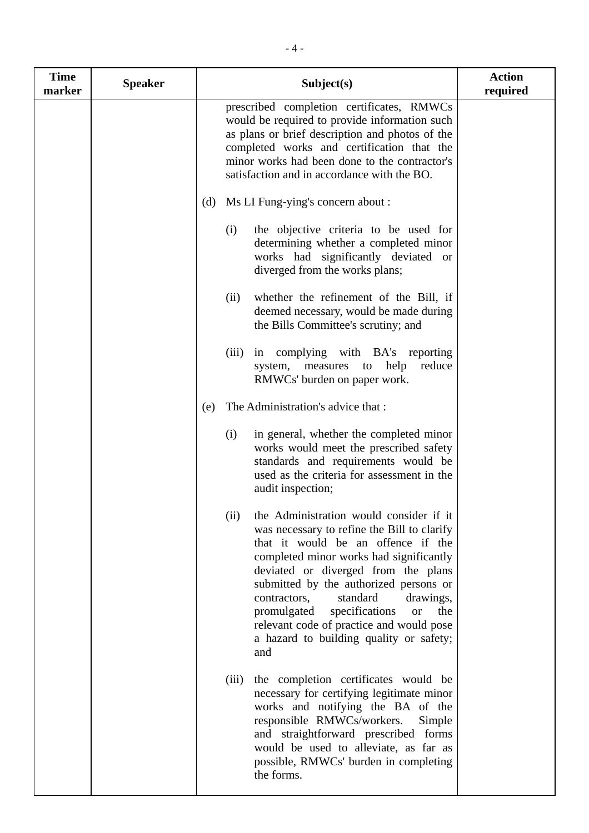| <b>Time</b><br>marker | <b>Speaker</b> | Subject(s)                                                                                                                                                                                                                                                                                                                                                                                                                                                   | <b>Action</b><br>required |
|-----------------------|----------------|--------------------------------------------------------------------------------------------------------------------------------------------------------------------------------------------------------------------------------------------------------------------------------------------------------------------------------------------------------------------------------------------------------------------------------------------------------------|---------------------------|
|                       |                | prescribed completion certificates, RMWCs<br>would be required to provide information such<br>as plans or brief description and photos of the<br>completed works and certification that the<br>minor works had been done to the contractor's<br>satisfaction and in accordance with the BO.                                                                                                                                                                  |                           |
|                       |                | (d) Ms LI Fung-ying's concern about :                                                                                                                                                                                                                                                                                                                                                                                                                        |                           |
|                       |                | the objective criteria to be used for<br>(i)<br>determining whether a completed minor<br>works had significantly deviated or<br>diverged from the works plans;                                                                                                                                                                                                                                                                                               |                           |
|                       |                | whether the refinement of the Bill, if<br>(ii)<br>deemed necessary, would be made during<br>the Bills Committee's scrutiny; and                                                                                                                                                                                                                                                                                                                              |                           |
|                       |                | complying with BA's reporting<br>(iii)<br>in<br>reduce<br>measures<br>help<br>system,<br>to<br>RMWCs' burden on paper work.                                                                                                                                                                                                                                                                                                                                  |                           |
|                       |                | The Administration's advice that :<br>(e)                                                                                                                                                                                                                                                                                                                                                                                                                    |                           |
|                       |                | in general, whether the completed minor<br>(i)<br>works would meet the prescribed safety<br>standards and requirements would be<br>used as the criteria for assessment in the<br>audit inspection;                                                                                                                                                                                                                                                           |                           |
|                       |                | the Administration would consider if it<br>(ii)<br>was necessary to refine the Bill to clarify<br>that it would be an offence if the<br>completed minor works had significantly<br>deviated or diverged from the plans<br>submitted by the authorized persons or<br>standard<br>contractors,<br>drawings,<br>specifications<br>promulgated<br>the<br><b>or</b><br>relevant code of practice and would pose<br>a hazard to building quality or safety;<br>and |                           |
|                       |                | the completion certificates would be<br>(iii)<br>necessary for certifying legitimate minor<br>works and notifying the BA of the<br>responsible RMWCs/workers.<br>Simple<br>and straightforward prescribed forms<br>would be used to alleviate, as far as<br>possible, RMWCs' burden in completing<br>the forms.                                                                                                                                              |                           |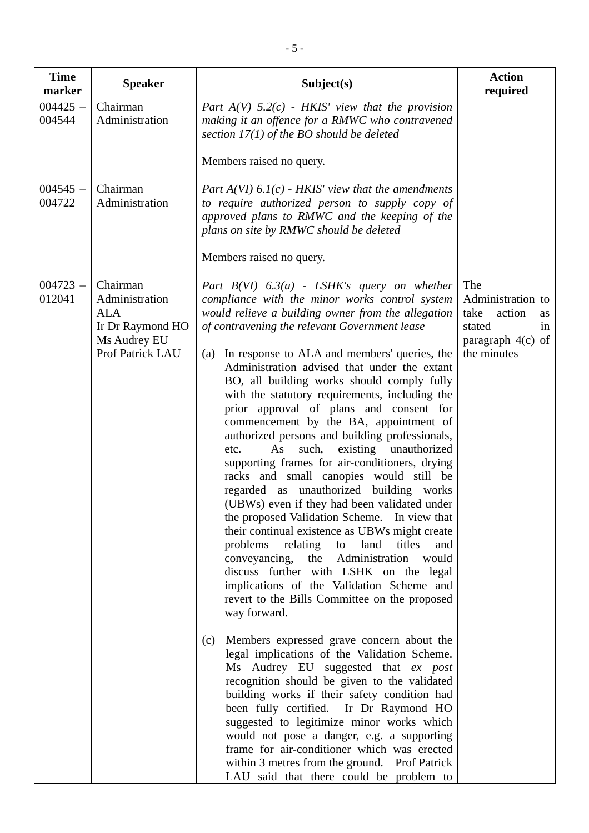| <b>Time</b><br>marker | <b>Speaker</b>                                                                                   | Subject(s)                                                                                                                                                                                                                                                                                                                                                                                                                                                                                                                                                                                                                                                                                                                                                                                                                                                                                                                                                                                                                                                                                                                                                                                                                                                                                                                                                                                                                                                                                                                                                                                                                                                                      | <b>Action</b><br>required                                                                              |
|-----------------------|--------------------------------------------------------------------------------------------------|---------------------------------------------------------------------------------------------------------------------------------------------------------------------------------------------------------------------------------------------------------------------------------------------------------------------------------------------------------------------------------------------------------------------------------------------------------------------------------------------------------------------------------------------------------------------------------------------------------------------------------------------------------------------------------------------------------------------------------------------------------------------------------------------------------------------------------------------------------------------------------------------------------------------------------------------------------------------------------------------------------------------------------------------------------------------------------------------------------------------------------------------------------------------------------------------------------------------------------------------------------------------------------------------------------------------------------------------------------------------------------------------------------------------------------------------------------------------------------------------------------------------------------------------------------------------------------------------------------------------------------------------------------------------------------|--------------------------------------------------------------------------------------------------------|
| $004425 -$<br>004544  | Chairman<br>Administration                                                                       | Part $A(V)$ 5.2(c) - HKIS' view that the provision<br>making it an offence for a RMWC who contravened<br>section $17(1)$ of the BO should be deleted<br>Members raised no query.                                                                                                                                                                                                                                                                                                                                                                                                                                                                                                                                                                                                                                                                                                                                                                                                                                                                                                                                                                                                                                                                                                                                                                                                                                                                                                                                                                                                                                                                                                |                                                                                                        |
| $004545 -$<br>004722  | Chairman<br>Administration                                                                       | Part $A(VI)$ 6.1(c) - HKIS' view that the amendments<br>to require authorized person to supply copy of<br>approved plans to RMWC and the keeping of the<br>plans on site by RMWC should be deleted<br>Members raised no query.                                                                                                                                                                                                                                                                                                                                                                                                                                                                                                                                                                                                                                                                                                                                                                                                                                                                                                                                                                                                                                                                                                                                                                                                                                                                                                                                                                                                                                                  |                                                                                                        |
| $004723 -$<br>012041  | Chairman<br>Administration<br><b>ALA</b><br>Ir Dr Raymond HO<br>Ms Audrey EU<br>Prof Patrick LAU | Part $B(VI)$ 6.3(a) - LSHK's query on whether<br>compliance with the minor works control system<br>would relieve a building owner from the allegation<br>of contravening the relevant Government lease<br>In response to ALA and members' queries, the<br>(a)<br>Administration advised that under the extant<br>BO, all building works should comply fully<br>with the statutory requirements, including the<br>prior approval of plans and consent for<br>commencement by the BA, appointment of<br>authorized persons and building professionals,<br>existing unauthorized<br>As<br>such,<br>etc.<br>supporting frames for air-conditioners, drying<br>racks and small canopies would still be<br>regarded as unauthorized building works<br>(UBWs) even if they had been validated under<br>the proposed Validation Scheme. In view that<br>their continual existence as UBWs might create<br>problems<br>relating to land<br>titles<br>and<br>the Administration<br>conveyancing,<br>would<br>discuss further with LSHK on the legal<br>implications of the Validation Scheme and<br>revert to the Bills Committee on the proposed<br>way forward.<br>(c) Members expressed grave concern about the<br>legal implications of the Validation Scheme.<br>Ms Audrey EU suggested that ex post<br>recognition should be given to the validated<br>building works if their safety condition had<br>been fully certified. Ir Dr Raymond HO<br>suggested to legitimize minor works which<br>would not pose a danger, e.g. a supporting<br>frame for air-conditioner which was erected<br>within 3 metres from the ground. Prof Patrick<br>LAU said that there could be problem to | The<br>Administration to<br>take<br>action<br>as<br>stated<br>in<br>paragraph $4(c)$ of<br>the minutes |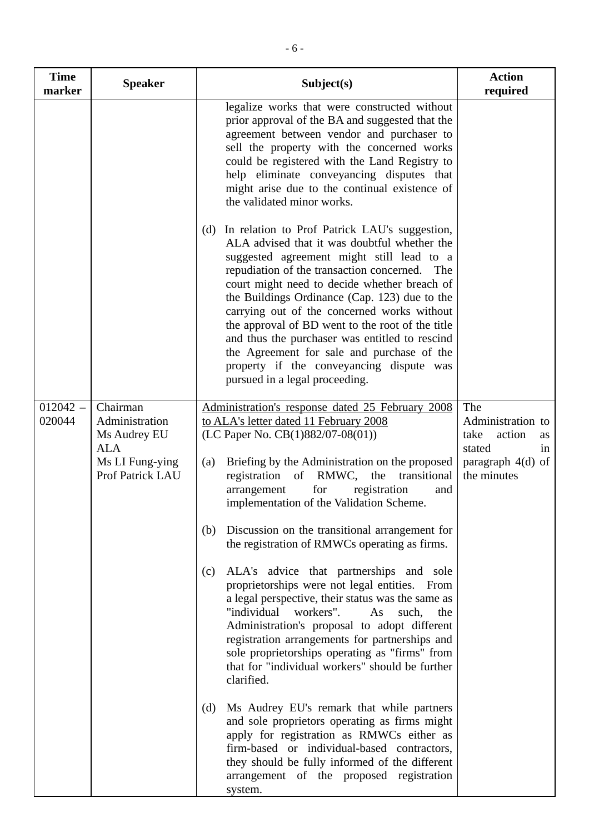| <b>Time</b><br>marker | <b>Speaker</b>                                                                                  | Subject(s)                                                                                                                                                                                                                                                                                                                                                                                                                                                                                                                                                                                                                                                                                                                                                                                                                                                              | <b>Action</b><br>required                                                                              |
|-----------------------|-------------------------------------------------------------------------------------------------|-------------------------------------------------------------------------------------------------------------------------------------------------------------------------------------------------------------------------------------------------------------------------------------------------------------------------------------------------------------------------------------------------------------------------------------------------------------------------------------------------------------------------------------------------------------------------------------------------------------------------------------------------------------------------------------------------------------------------------------------------------------------------------------------------------------------------------------------------------------------------|--------------------------------------------------------------------------------------------------------|
|                       |                                                                                                 | legalize works that were constructed without<br>prior approval of the BA and suggested that the<br>agreement between vendor and purchaser to<br>sell the property with the concerned works<br>could be registered with the Land Registry to<br>help eliminate conveyancing disputes that<br>might arise due to the continual existence of<br>the validated minor works.                                                                                                                                                                                                                                                                                                                                                                                                                                                                                                 |                                                                                                        |
|                       |                                                                                                 | (d) In relation to Prof Patrick LAU's suggestion,<br>ALA advised that it was doubtful whether the<br>suggested agreement might still lead to a<br>repudiation of the transaction concerned. The<br>court might need to decide whether breach of<br>the Buildings Ordinance (Cap. 123) due to the<br>carrying out of the concerned works without<br>the approval of BD went to the root of the title<br>and thus the purchaser was entitled to rescind<br>the Agreement for sale and purchase of the<br>property if the conveyancing dispute was<br>pursued in a legal proceeding.                                                                                                                                                                                                                                                                                       |                                                                                                        |
| $012042 -$<br>020044  | Chairman<br>Administration<br>Ms Audrey EU<br><b>ALA</b><br>Ms LI Fung-ying<br>Prof Patrick LAU | Administration's response dated 25 February 2008<br>to ALA's letter dated 11 February 2008<br>(LC Paper No. $CB(1)882/07-08(01)$ )<br>Briefing by the Administration on the proposed<br>(a)<br>registration of RMWC, the<br>transitional<br>registration<br>arrangement<br>for<br>and<br>implementation of the Validation Scheme.<br>Discussion on the transitional arrangement for<br>(b)<br>the registration of RMWCs operating as firms.<br>ALA's advice that partnerships and sole<br>(c)<br>proprietorships were not legal entities. From<br>a legal perspective, their status was the same as<br>"individual workers".<br>As<br>such,<br>the<br>Administration's proposal to adopt different<br>registration arrangements for partnerships and<br>sole proprietorships operating as "firms" from<br>that for "individual workers" should be further<br>clarified. | The<br>Administration to<br>take<br>action<br>as<br>stated<br>1n<br>paragraph $4(d)$ of<br>the minutes |
|                       |                                                                                                 | Ms Audrey EU's remark that while partners<br>(d)<br>and sole proprietors operating as firms might<br>apply for registration as RMWCs either as<br>firm-based or individual-based contractors,<br>they should be fully informed of the different<br>arrangement of the proposed registration<br>system.                                                                                                                                                                                                                                                                                                                                                                                                                                                                                                                                                                  |                                                                                                        |